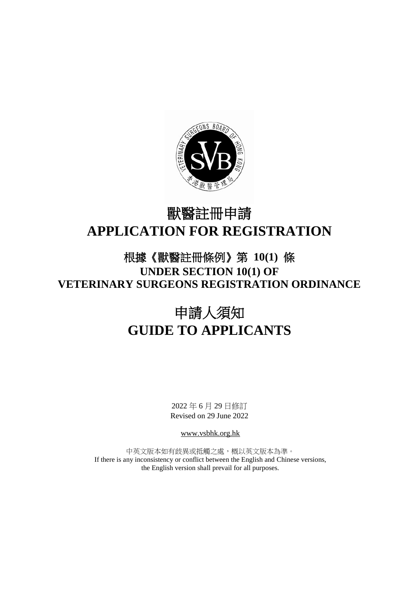

# 獸醫註冊申請 **APPLICATION FOR REGISTRATION**

# 根據《獸醫註冊條例》第 **10(1)** 條 **UNDER SECTION 10(1) OF VETERINARY SURGEONS REGISTRATION ORDINANCE**

# 申請人須知 **GUIDE TO APPLICANTS**

2022 年 6 月 29 日修訂 Revised on 29 June 2022

www.vsbhk.org.hk

中英文版本如有歧異或抵觸之處,概以英文版本為準。 If there is any inconsistency or conflict between the English and Chinese versions, the English version shall prevail for all purposes.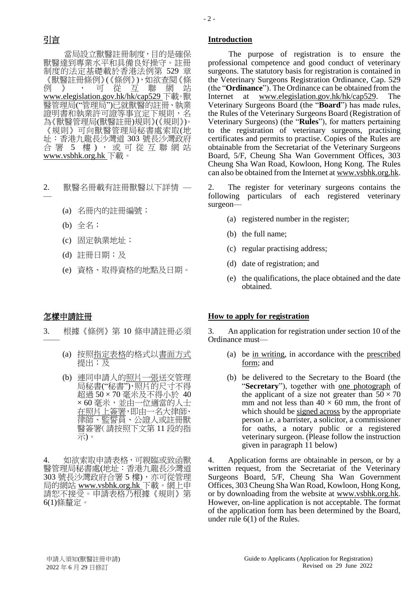當局設立獸醫註冊制度,目的是確保 獸醫達到專業水平和具備良好操守。註冊 制度的法定基礎載於香港法例第 529 章 《獸醫註冊條例》(《條例》),如欲查閱《條 例 》 , 可從 互 聯 網 站 www.elegislation.gov.hk/hk/cap529 下載。獸 醫管理局("管理局")已就獸醫的註冊、執業 證明書和執業許可證等事宜定下規則,名 為《獸醫管理局(獸醫註冊)規則》(《規則》)。 《規則》可向獸醫管理局秘書處索取(地 址:香港九龍長沙灣道 303 號長沙灣政府 合署 5 樓), 或可從互聯網站 www.vsbhk.org.hk 下載。

- 2. 獸醫名冊載有註冊獸醫以下詳情 —
	- (a) 名冊內的註冊編號;
	- (b) 全名;
	- (c) 固定執業地址;
	- (d) 註冊日期;及
	- (e) 資格、取得資格的地點及日期。

——

- 3. 根據《條例》第 10 條申請註冊必須
	- (a) 按照指定表格的格式以書面方式 提出;及
	- (b) 連同申請人的照片一張送交管理 局秘書("秘書"),照片的尺寸不得 超過 50 × 70 毫米及不得小於 40 × 60 毫米,並由一位適當的人士 在照片上簽署,即由一名大律師、 律師、監誓員、公證人或註冊獸 醫簽署(請按照下文第 11 段的指 示)。

4. 如欲索取申請表格,可親臨或致函獸 醫管理局秘書處(地址:香港九龍長沙灣道 303 號長沙灣政府合署 5 樓), 亦可從管理 局的網站 www.vsbhk.org.hk 下載。網上申 請恕不接受。申請表格乃根據《規則》第 6(1)條釐定。

## 引言 **Introduction**

The purpose of registration is to ensure the professional competence and good conduct of veterinary surgeons. The statutory basis for registration is contained in the Veterinary Surgeons Registration Ordinance, Cap. 529 (the "**Ordinance**"). The Ordinance can be obtained from the Internet at www.elegislation.gov.hk/hk/cap529. The Veterinary Surgeons Board (the "**Board**") has made rules, the Rules of the Veterinary Surgeons Board (Registration of Veterinary Surgeons) (the "**Rules**"), for matters pertaining to the registration of veterinary surgeons, practising certificates and permits to practise. Copies of the Rules are obtainable from the Secretariat of the Veterinary Surgeons Board, 5/F, Cheung Sha Wan Government Offices, 303 Cheung Sha Wan Road, Kowloon, Hong Kong. The Rules can also be obtained from the Internet at www.vsbhk.org.hk.

2. The register for veterinary surgeons contains the following particulars of each registered veterinary surgeon—

- (a) registered number in the register;
- (b) the full name;
- (c) regular practising address;
- (d) date of registration; and
- (e) the qualifications, the place obtained and the date obtained.

### 怎樣申請註冊 **How to apply for registration**

3. An application for registration under section 10 of the Ordinance must—

- (a) be in writing, in accordance with the prescribed form; and
- (b) be delivered to the Secretary to the Board (the "**Secretary**"), together with one photograph of the applicant of a size not greater than  $50 \times 70$ mm and not less than  $40 \times 60$  mm, the front of which should be signed across by the appropriate person i.e. a barrister, a solicitor, a commissioner for oaths, a notary public or a registered veterinary surgeon. (Please follow the instruction given in paragraph 11 below)

4. Application forms are obtainable in person, or by a written request, from the Secretariat of the Veterinary Surgeons Board, 5/F, Cheung Sha Wan Government Offices, 303 Cheung Sha Wan Road, Kowloon, Hong Kong, or by downloading from the website at www.vsbhk.org.hk. However, on-line application is not acceptable. The format of the application form has been determined by the Board, under rule 6(1) of the Rules.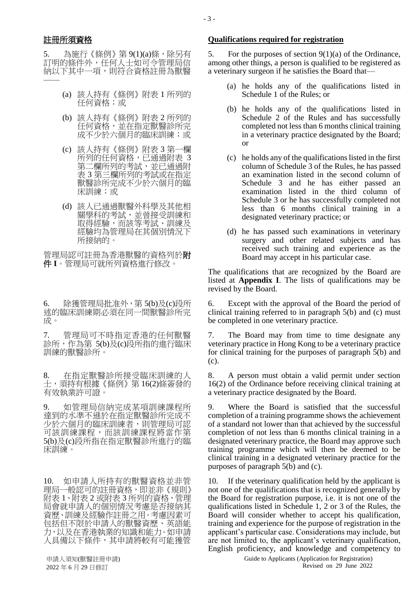5. 為施行《條例》第 9(1)(a)條,除另有 訂明的條件外,任何人士如可令管理局信 納以下其中一項,則符合資格註冊為獸醫 ——

- (a) 該人持有《條例》附表 1 所列的 任何資格;或
- (b) 該人持有《條例》附表 2 所列的 任何資格,並在指定獸醫診所完 成不少於六個月的臨床訓練;或
- (c) 該人持有《條例》附表 3 第一欄 所列的任何資格,已通過附表"3 **第二欄所列的考試,並已通過附** 表 3 第三欄所列的考試或在指定 獸醫診所完成不少於六個月的臨 床訓練;或
- (d) 該人已通過獸醫外科學及其他相 關學科的考試,並曾接受訓練和 取得經驗,而該等考試、訓練及 經驗均為管理局在其個別情況下 所接納的。

管理局認可註冊為香港獸醫的資格列於附 件 **I**。管理局可就所列資格進行修改。

6. 除獲管理局批准外,第 5(b)及(c)段所 述的臨床訓練期必須在同一間獸醫診所完 成。

7. 管理局可不時指定香港的任何獸醫 診所,作為第 5(b)及(c)段所指的進行臨床 訓練的獸醫診所。

8. 在指定獸醫診所接受臨床訓練的人 士,須持有根據《條例》第 16(2)條簽發的 有效執業許可證。

9. 如管理局信納完成某項訓練課程所 達到的水準不遜於在指定獸醫診所完成不 少於六個月的臨床訓練者,則管理局可認 可該訓練課程,而該訓練課程將當作第 5(b)及(c)段所指在指定獸醫診所進行的臨 床訓練。

10. 如申請人所持有的獸醫資格並非管 理局一般認可的註冊資格,即並非《規則》 附表 1、附表 2 或附表 3 所列的資格,管理 局會就申請人的個別情況考慮是否接納其 資歷、訓練及經驗作註冊之用。考慮因素可 包括但不限於申請人的獸醫資歷、英語能 力,以及在香港執業的知識和能力。如申請 人具備以下條件,其申請將較有可能獲管

## 註冊所須資格 **Qualifications required for registration**

5. For the purposes of section  $9(1)(a)$  of the Ordinance, among other things, a person is qualified to be registered as a veterinary surgeon if he satisfies the Board that—

- (a) he holds any of the qualifications listed in Schedule 1 of the Rules; or
- (b) he holds any of the qualifications listed in Schedule 2 of the Rules and has successfully completed not less than 6 months clinical training in a veterinary practice designated by the Board; or
- (c) he holds any of the qualifications listed in the first column of Schedule 3 of the Rules, he has passed an examination listed in the second column of Schedule 3 and he has either passed an examination listed in the third column of Schedule 3 or he has successfully completed not less than 6 months clinical training in a designated veterinary practice; or
- (d) he has passed such examinations in veterinary surgery and other related subjects and has received such training and experience as the Board may accept in his particular case.

The qualifications that are recognized by the Board are listed at **Appendix I**. The lists of qualifications may be revised by the Board.

6. Except with the approval of the Board the period of clinical training referred to in paragraph 5(b) and (c) must be completed in one veterinary practice.

7. The Board may from time to time designate any veterinary practice in Hong Kong to be a veterinary practice for clinical training for the purposes of paragraph  $\bar{5}$ (b) and (c).

8. A person must obtain a valid permit under section 16(2) of the Ordinance before receiving clinical training at a veterinary practice designated by the Board.

9. Where the Board is satisfied that the successful completion of a training programme shows the achievement of a standard not lower than that achieved by the successful completion of not less than 6 months clinical training in a designated veterinary practice, the Board may approve such training programme which will then be deemed to be clinical training in a designated veterinary practice for the purposes of paragraph 5(b) and (c).

10. If the veterinary qualification held by the applicant is not one of the qualifications that is recognized generally by the Board for registration purpose, i.e. it is not one of the qualifications listed in Schedule 1, 2 or 3 of the Rules, the Board will consider whether to accept his qualification, training and experience for the purpose of registration in the applicant's particular case. Considerations may include, but are not limited to, the applicant's veterinary qualification, English proficiency, and knowledge and competency to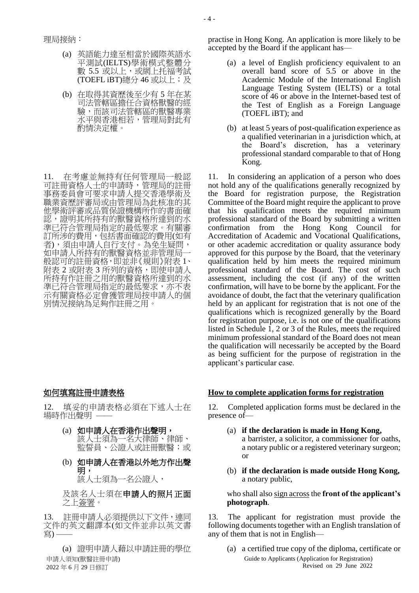- (a) 英語能力達至相當於國際英語水 平測試(IELTS)學術模式整體分 數 5.5 或以上,或網上托福考試 (TOEFL iBT)總分 46 或以上;及
- (b) 在取得其資歷後至少有 5 年在某 司法管轄區擔任合資格獸醫的經 驗,而該司法管轄區的獸醫專業 水平與香港相若,管理局對此有 酌情決定權。

11. 在考慮並無持有任何管理局一般認 可註冊資格人士的申請時,管理局的註冊 事務委員會可要求申請人提交香港學術及 職業資歷評審局或由管理局為此核准的其 他學術評審或品質保證機構所作的書面確 認,證明其所持有的獸醫資格所達到的水 準已符合管理局指定的最低要求。有關審 訂所涉的費用,包括書面確認的費用(如有 者),須由申請人自行支付。為免生疑問, 如申請人所持有的獸醫資格並非管理局一 般認可的註冊資格,即並非《規則》附表 1、 附表 2 或附表 3 所列的資格,即使申請人 所持有作註冊之用的獸醫資格所達到的水 準已符合管理局指定的最低要求,亦不表 示有關資格必定會獲管理局按申請人的個 別情況接納為足夠作註冊之用。

12. 填妥的申請表格必須在下述人士在 場時作出聲明 ——

- (a) 如申請人在香港作出聲明, 該人士須為一名大律師、律師、 監誓員、公證人或註冊獸醫;或
- (b) 如申請人在香港以外地方作出聲 明, 該人士須為一名公證人,

及該名人士須在申請人的照片正面 之上簽署。

13. 註冊申請人必須提供以下文件,連同 文件的英文翻譯本(如文件並非以英文書 寫) –

申請人須知(獸醫註冊申請) 2022 年 6 月 29 日修訂 (a) 證明申請人藉以申請註冊的學位 practise in Hong Kong. An application is more likely to be accepted by the Board if the applicant has—

- (a) a level of English proficiency equivalent to an overall band score of 5.5 or above in the Academic Module of the International English Language Testing System (IELTS) or a total score of 46 or above in the Internet-based test of the Test of English as a Foreign Language (TOEFL iBT); and
- (b) at least 5 years of post-qualification experience as a qualified veterinarian in a jurisdiction which, at the Board's discretion, has a veterinary professional standard comparable to that of Hong Kong.

11. In considering an application of a person who does not hold any of the qualifications generally recognized by the Board for registration purpose, the Registration Committee of the Board might require the applicant to prove that his qualification meets the required minimum professional standard of the Board by submitting a written confirmation from the Hong Kong Council for Accreditation of Academic and Vocational Qualifications, or other academic accreditation or quality assurance body approved for this purpose by the Board, that the veterinary qualification held by him meets the required minimum professional standard of the Board. The cost of such assessment, including the cost (if any) of the written confirmation, will have to be borne by the applicant. For the avoidance of doubt, the fact that the veterinary qualification held by an applicant for registration that is not one of the qualifications which is recognized generally by the Board for registration purpose, i.e. is not one of the qualifications listed in Schedule 1, 2 or 3 of the Rules, meets the required minimum professional standard of the Board does not mean the qualification will necessarily be accepted by the Board as being sufficient for the purpose of registration in the applicant's particular case.

### 如何填寫註冊申請表格 **How to complete application forms for registration**

12. Completed application forms must be declared in the presence of—

- (a) **if the declaration is made in Hong Kong,** a barrister, a solicitor, a commissioner for oaths, a notary public or a registered veterinary surgeon; or
- (b) **if the declaration is made outside Hong Kong,**  a notary public,

### who shall also sign across the **front of the applicant's photograph**.

13. The applicant for registration must provide the following documents together with an English translation of any of them that is not in English—

Guide to Applicants (Application for Registration) Revised on 29 June 2022 (a) a certified true copy of the diploma, certificate or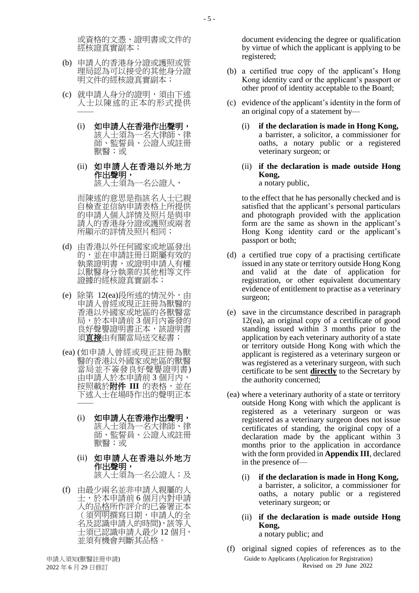或資格的文憑、證明書或文件的 經核證真實副本;

- (b) 申請人的香港身分證或護照或管 理局認為可以接受的其他身分證 明文件的經核證真實副本;
- (c) 就申請人身分的證明,須由下述 人士以陳述的正本的形式提供 ——
	- (i) 如申請人在香港作出聲明, 該人士須為一名大律師、律 師、監誓員、公證人或註冊 獸醫;或
	- (ii) 如申請人在香港以外地方 作出聲明, 該人士須為一名公證人,

而陳述的意思是指該名人士已親 自檢查並信納申請表格上所提供 的申請人個人詳情及照片是與申 請人的香港身分證或護照或兩者 所顯示的詳情及照片相同;

- (d) 由香港以外任何國家或地區發出 的,並在申請註冊日期屬有效的 執業證明書,或證明申請人有權 以獸醫身分執業的其他相等文件 證據的經核證真實副本;
- (e) 除第 12(ea)段所述的情況外,由 申請人曾經或現正註冊為獸醫的 香港以外國家或地區的各獸醫當 局,於本申請前 3 個月內簽發的 良好聲譽證明書正本,該證明書 須<u>直接</u>由有關當局送交秘書;
- (ea) (如申請人曾經或現正註冊為獸 醫的香港以外國家或地區的獸醫 當局並不簽發良好聲譽證明書) 由申請人於本申請前 3 個月內, 按照載於附件 III 的表格,並在 下述人士在場時作出的聲明正本 ——
	- (i) 如申請人在香港作出聲明, 該人士須為一名大律師、律 師、監誓員、公證人或註冊 獸醫;或
	- (ii) 如申請人在香港以外地方 作出聲明, 該人士須為一名公證人;及
- (f) 由最少兩名並非申請人親屬的人 士,於本申請前 6 個月內對申請 人的品格所作評介的已簽署正本 (須列明撰寫日期,申請人的全 名及認識申請人的時間),該等人 士須已認識申請人最少 12 個月, 並須有機會判斷其品格。

document evidencing the degree or qualification by virtue of which the applicant is applying to be registered;

- (b) a certified true copy of the applicant's Hong Kong identity card or the applicant's passport or other proof of identity acceptable to the Board;
- (c) evidence of the applicant's identity in the form of an original copy of a statement by—
	- (i) **if the declaration is made in Hong Kong,** a barrister, a solicitor, a commissioner for oaths, a notary public or a registered veterinary surgeon; or
	- (ii) **if the declaration is made outside Hong Kong,**

a notary public,

to the effect that he has personally checked and is satisfied that the applicant's personal particulars and photograph provided with the application form are the same as shown in the applicant's Hong Kong identity card or the applicant's passport or both;

- (d) a certified true copy of a practising certificate issued in any state or territory outside Hong Kong and valid at the date of application for registration, or other equivalent documentary evidence of entitlement to practise as a veterinary surgeon;
- (e) save in the circumstance described in paragraph 12(ea), an original copy of a certificate of good standing issued within 3 months prior to the application by each veterinary authority of a state or territory outside Hong Kong with which the applicant is registered as a veterinary surgeon or was registered as a veterinary surgeon, with such certificate to be sent **directly** to the Secretary by the authority concerned;
- (ea) where a veterinary authority of a state or territory outside Hong Kong with which the applicant is registered as a veterinary surgeon or was registered as a veterinary surgeon does not issue certificates of standing, the original copy of a declaration made by the applicant within 3 months prior to the application in accordance with the form provided in **Appendix III**, declared in the presence of—
	- (i) **if the declaration is made in Hong Kong,**  a barrister, a solicitor, a commissioner for oaths, a notary public or a registered veterinary surgeon; or
	- (ii) **if the declaration is made outside Hong Kong,**  a notary public; and
- Guide to Applicants (Application for Registration) Revised on 29 June 2022 (f) original signed copies of references as to the

申請人須知(獸醫註冊申請) 2022 年 6 月 29 日修訂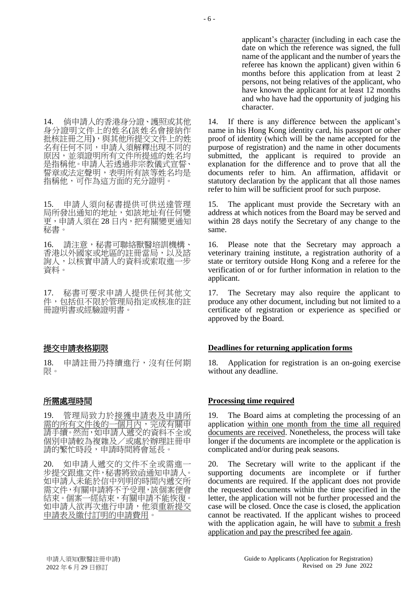14. 倘申請人的香港身分證、護照或其他 身分證明文件上的姓名(該姓名會接納作 批核註冊之用),與其他所提交文件上的姓 名有任何不同,申請人須解釋出現不同的 原因,並須證明所有文件所提述的姓名均 是指稱他。申請人若透過非宗教儀式宣誓、 誓章或法定聲明,表明所有該等姓名均是 指稱他,可作為這方面的充分證明。

15. 申請人須向秘書提供可供送達管理 局所發出通知的地址,如該地址有任何變 更,申請人須在 28 日內,把有關變更通知 秘書。

16. 請注意,秘書可聯絡獸醫培訓機構、 香港以外國家或地區的註冊當局,以及諮 詢人,以核實申請人的資料或索取進一步 資料。

17. 秘書可要求申請人提供任何其他文 件,包括但不限於管理局指定或核准的註 冊證明書或經驗證明書。

18. 申請註冊乃持續進行,沒有任何期 限。

19. 管理局致力於接獲申請表及申請所 需的所有文件後的一個月內,完成有關申 請手續。然而,如申請人遞交的資料不全或 個別申請較為複雜及/或處於辦理註冊申 請的繁忙時段,申請時間將會延長。

20. 如申請人遞交的文件不全或需進一 步提交跟進文件,秘書將致函通知申請人。 如申請人未能於信中列明的時間內遞交所 需文件,有關申請將不予受理,該個案便會 結束。個案一經結束,有關申請不能恢復。 如申請人欲再次進行申請,他須重新提交 申請表及繳付訂明的申請費用。

applicant's character (including in each case the date on which the reference was signed, the full name of the applicant and the number of years the referee has known the applicant) given within 6 months before this application from at least 2 persons, not being relatives of the applicant, who have known the applicant for at least 12 months and who have had the opportunity of judging his character.

14. If there is any difference between the applicant's name in his Hong Kong identity card, his passport or other proof of identity (which will be the name accepted for the purpose of registration) and the name in other documents submitted, the applicant is required to provide an explanation for the difference and to prove that all the documents refer to him. An affirmation, affidavit or statutory declaration by the applicant that all those names refer to him will be sufficient proof for such purpose.

15. The applicant must provide the Secretary with an address at which notices from the Board may be served and within 28 days notify the Secretary of any change to the same.

16. Please note that the Secretary may approach a veterinary training institute, a registration authority of a state or territory outside Hong Kong and a referee for the verification of or for further information in relation to the applicant.

17. The Secretary may also require the applicant to produce any other document, including but not limited to a certificate of registration or experience as specified or approved by the Board.

### 提交申請表格期限 **Deadlines for returning application forms**

18. Application for registration is an on-going exercise without any deadline.

### 所需處理時間 **Processing time required**

19. The Board aims at completing the processing of an application within one month from the time all required documents are received. Nonetheless, the process will take longer if the documents are incomplete or the application is complicated and/or during peak seasons.

20. The Secretary will write to the applicant if the supporting documents are incomplete or if further documents are required. If the applicant does not provide the requested documents within the time specified in the letter, the application will not be further processed and the case will be closed. Once the case is closed, the application cannot be reactivated. If the applicant wishes to proceed with the application again, he will have to submit a fresh application and pay the prescribed fee again.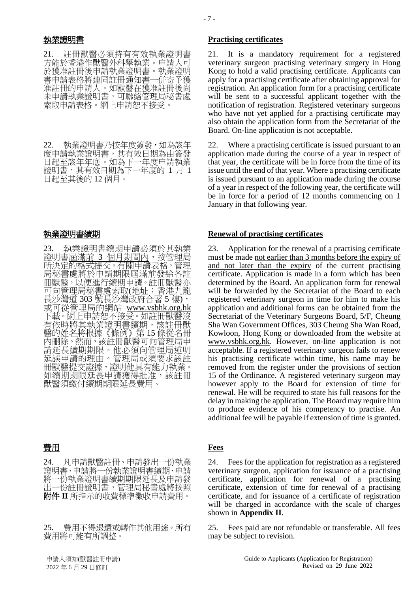21. 註冊獸醫必須持有有效執業證明書 方能於香港作獸醫外科學執業。申請人可 於獲准註冊後申請執業證明書。執業證明 書申請表格將連同註冊通知書一併寄予獲 准註冊的申請人。如獸醫在獲准註冊後尚 未申請執業證明書,可聯絡管理局秘書處 索取申請表格。網上申請恕不接受。

22. 執業證明書乃按年度簽發,如為該年 度申請執業證明書,其有效日期為由簽發 日起至該年年底。如為下一年度申請執業 證明書,其有效日期為下一年度的 1 月 1 日起至其後的 12 個月。

23. 執業證明書續期申請必須於其執業 證明書屆滿前 3 個月期間內, 按管理局 所決定的格式提交。有關申請表格,管理 局秘書處將於申請期限屆滿前發給各註 冊獸醫,以便進行續期申請。註冊獸醫亦 可向管理局秘書處索取(地址:香港九龍 長沙灣道 303 號長沙灣政府合署 5 樓), 或可從管理局的網站 www.vsbhk.org.hk 下載。網上申請恕不接受。如註冊獸醫沒 有依時將其執業證明書續期,該註冊獸 醫的姓名將根據《條例》第 15 條從名冊 內刪除。然而,該註冊獸醫可向管理局申 請延長續期期限。他必須向管理局述明 延誤申請的理由。管理局或須要求該註 冊獸醫提交證據,證明他具有能力執業。 如續期期限延長申請獲得批准,該註冊 獸醫須繳付續期期限延長費用。

## 費用 **Fees**

24. 凡申請獸醫註冊、申請發出一份執業 證明書、申請將一份執業證明書續期、申請 將一份執業證明書續期期限延長及申請發 出一份註冊證明書,管理局秘書處將按照 附件 **II** 所指示的收費標準徵收申請費用。

25. 費用不得退還或轉作其他用途。所有 費用將可能有所調整。

### 執業證明書 **Practising certificates**

21. It is a mandatory requirement for a registered veterinary surgeon practising veterinary surgery in Hong Kong to hold a valid practising certificate. Applicants can apply for a practising certificate after obtaining approval for registration. An application form for a practising certificate will be sent to a successful applicant together with the notification of registration. Registered veterinary surgeons who have not yet applied for a practising certificate may also obtain the application form from the Secretariat of the Board. On-line application is not acceptable.

22. Where a practising certificate is issued pursuant to an application made during the course of a year in respect of that year, the certificate will be in force from the time of its issue until the end of that year. Where a practising certificate is issued pursuant to an application made during the course of a year in respect of the following year, the certificate will be in force for a period of 12 months commencing on 1 January in that following year.

### 執業證明書續期 **Renewal of practising certificates**

23. Application for the renewal of a practising certificate must be made not earlier than 3 months before the expiry of and not later than the expiry of the current practising certificate. Application is made in a form which has been determined by the Board. An application form for renewal will be forwarded by the Secretariat of the Board to each registered veterinary surgeon in time for him to make his application and additional forms can be obtained from the Secretariat of the Veterinary Surgeons Board, 5/F, Cheung Sha Wan Government Offices, 303 Cheung Sha Wan Road, Kowloon, Hong Kong or downloaded from the website at www.vsbhk.org.hk. However, on-line application is not acceptable. If a registered veterinary surgeon fails to renew his practising certificate within time, his name may be removed from the register under the provisions of section 15 of the Ordinance. A registered veterinary surgeon may however apply to the Board for extension of time for renewal. He will be required to state his full reasons for the delay in making the application. The Board may require him to produce evidence of his competency to practise. An additional fee will be payable if extension of time is granted.

24. Fees for the application for registration as a registered veterinary surgeon, application for issuance of a practising certificate, application for renewal of a practising certificate, extension of time for renewal of a practising certificate, and for issuance of a certificate of registration will be charged in accordance with the scale of charges shown in **Appendix II**.

25. Fees paid are not refundable or transferable. All fees may be subject to revision.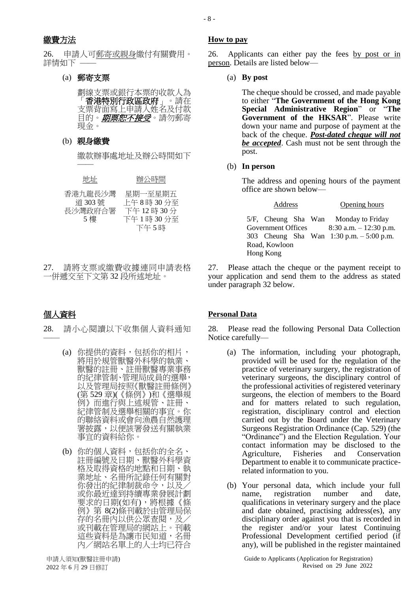26. 申請人可郵寄或親身繳付有關費用。 詳情如下 —

## (a) 郵寄支票

劃線支票或銀行本票的收款人為 「香港特別行政區政府」。請在 支票背面寫上申請人姓名及付款 目的。*期票恕不接受*。請勿郵寄 現金。

## (b) 親身繳費

——

繳款辦事處地址及辦公時間如下

| 地址                                  | 辦公時間                                                |
|-------------------------------------|-----------------------------------------------------|
| 香港九龍長沙灣<br>道 303號<br>長沙灣政府合署<br>5 樓 | 星期一至星期五<br>上午8時30分至<br>下午12時30分<br>下午1時30分至<br>下午5時 |

27. 請將支票或繳費收據連同申請表格 一併遞交至下文第 32 段所述地址。

——

28. 請小心閱讀以下收集個人資料通知

- (a) 你提供的資料,包括你的相片, 將用於規管獸醫外科學的執業、 獸醫的註冊、註冊獸醫專業事務 的紀律管制、管理局成員的選舉, 以及管理局按照《獸醫註冊條例》 (第 529 章)(《條例》)和《選舉規 例》而進行與上述規管、註冊、 紀律管制及選舉相關的事宜。你 的聯絡資料或會向漁農自然護理 署披露,以便該署發送有關執業 事宜的資料給你。
- (b) 你的個人資料,包括你的全名、 註冊編號及日期、獸醫外科學資 格及取得資格的地點和日期、執 業地址、名冊所記錄任何有關對 你發出的紀律制裁命令,以及/ 或你最近達到持續專業發展計劃 要求的日期(如有),將根據《條 例》第 8(2)條刊載於由管理局保 存的名冊內以供公眾查閱,及/ 或刊載在管理局的網站上。刊載 這些資料是為讓市民知道,名冊 內/網站名單上的人士均已符合

## 繳費方法 **How to pay**

26. Applicants can either pay the fees by post or in person. Details are listed below—

(a) **By post**

The cheque should be crossed, and made payable to either "**The Government of the Hong Kong Special Administrative Region**" or "**The Government of the HKSAR**". Please write down your name and purpose of payment at the back of the cheque. *Post-dated cheque will not be accepted*. Cash must not be sent through the post.

### (b) **In person**

The address and opening hours of the payment office are shown below—

Address Opening hours

| Audiess |                    |  | Opening nours |                                             |
|---------|--------------------|--|---------------|---------------------------------------------|
|         |                    |  |               | 5/F, Cheung Sha Wan Monday to Friday        |
|         | Government Offices |  |               | $8:30$ a.m. $-12:30$ p.m.                   |
|         |                    |  |               | 303 Cheung Sha Wan $1:30$ p.m. $-5:00$ p.m. |
|         | Road, Kowloon      |  |               |                                             |
|         | Hong Kong          |  |               |                                             |

27. Please attach the cheque or the payment receipt to your application and send them to the address as stated under paragraph 32 below.

## 個人資料 **Personal Data**

28. Please read the following Personal Data Collection Notice carefully—

- (a) The information, including your photograph, provided will be used for the regulation of the practice of veterinary surgery, the registration of veterinary surgeons, the disciplinary control of the professional activities of registered veterinary surgeons, the election of members to the Board and for matters related to such regulation, registration, disciplinary control and election carried out by the Board under the Veterinary Surgeons Registration Ordinance (Cap. 529) (the "Ordinance") and the Election Regulation. Your contact information may be disclosed to the Agriculture, Fisheries and Conservation Department to enable it to communicate practicerelated information to you.
- (b) Your personal data, which include your full name, registration number and date, qualifications in veterinary surgery and the place and date obtained, practising address(es), any disciplinary order against you that is recorded in the register and/or your latest Continuing Professional Development certified period (if any), will be published in the register maintained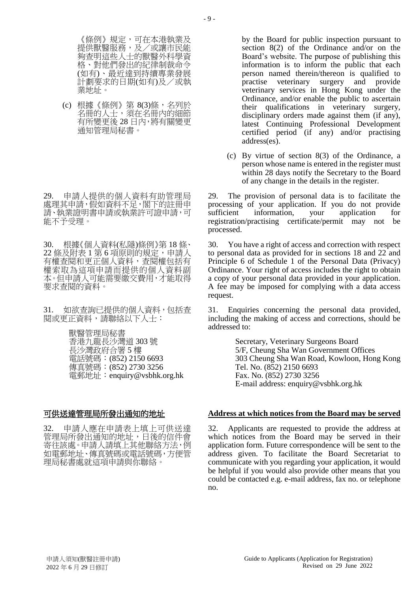《條例》規定,可在本港執業及 提供獸醫服務,及/或讓市民能 夠查明這些人士的獸醫外科學資 格、對他們發出的紀律制裁命令 (如有)、最近達到持續專業發展 計劃要求的日期(如有)及/或執 業地址。

(c) 根據《條例》第 8(3)條,名列於 名冊的人士,須在名冊內的細節 有所變更後 28 日內,將有關變更 通知管理局秘書。

29. 申請人提供的個人資料有助管理局 處理其申請,假如資料不足,閣下的註冊申 請、執業證明書申請或執業許可證申請,可 能不予受理。

30. 根據《個人資料(私隱)條例》第 18 條、 22 條及附表 1 第 6 項原則的規定,申請人 有權查閱和更正個人資料,查閱權包括有 權索取為這項申請而提供的個人資料副 本。但申請人可能需要繳交費用,才能取得 要求查閱的資料。

31. 如欲查詢已提供的個人資料,包括查 閱或更正資料,請聯絡以下人士:

> 獸醫管理局秘書 香港九龍長沙灣道 303 號 長沙灣政府合署 5 樓 電話號碼:(852) 2150 6693 傳真號碼: (852) 2730 3256 電郵地址:enquiry@vsbhk.org.hk

32. 申請人應在申請表上填上可供送達 管理局所發出通知的地址,日後的信件會 寄往該處。申請人請填上其他聯絡方法,例 如電郵地址、傳真號碼或電話號碼,方便管 理局秘書處就這項申請與你聯絡。

by the Board for public inspection pursuant to section 8(2) of the Ordinance and/or on the Board's website. The purpose of publishing this information is to inform the public that each person named therein/thereon is qualified to practise veterinary surgery and provide veterinary services in Hong Kong under the Ordinance, and/or enable the public to ascertain their qualifications in veterinary surgery, disciplinary orders made against them (if any), latest Continuing Professional Development certified period (if any) and/or practising address(es).

(c) By virtue of section 8(3) of the Ordinance, a person whose name is entered in the register must within 28 days notify the Secretary to the Board of any change in the details in the register.

29. The provision of personal data is to facilitate the processing of your application. If you do not provide sufficient information, your application for registration/practising certificate/permit may not be processed.

30. You have a right of access and correction with respect to personal data as provided for in sections 18 and 22 and Principle 6 of Schedule 1 of the Personal Data (Privacy) Ordinance. Your right of access includes the right to obtain a copy of your personal data provided in your application. A fee may be imposed for complying with a data access request.

31. Enquiries concerning the personal data provided, including the making of access and corrections, should be addressed to:

> Secretary, Veterinary Surgeons Board 5/F, Cheung Sha Wan Government Offices 303 Cheung Sha Wan Road, Kowloon, Hong Kong Tel. No. (852) 2150 6693 Fax. No. (852) 2730 3256 E-mail address: enquiry@vsbhk.org.hk

### 可供送達管理局所發出通知的地址 **Address at which notices from the Board may be served**

32. Applicants are requested to provide the address at which notices from the Board may be served in their application form. Future correspondence will be sent to the address given. To facilitate the Board Secretariat to communicate with you regarding your application, it would be helpful if you would also provide other means that you could be contacted e.g. e-mail address, fax no. or telephone no.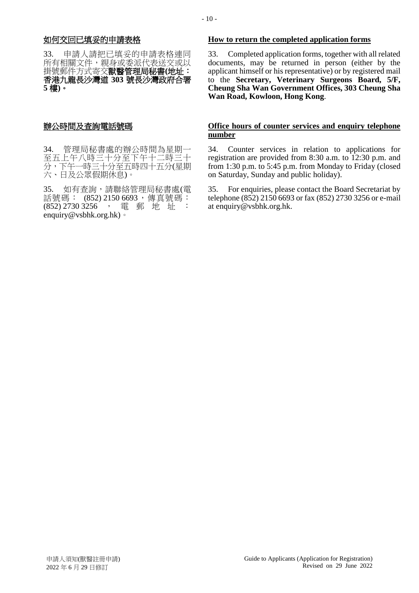33. 申請人請把已填妥的申請表格連同 所有相關文件,親身或委派代表送交或以 掛號郵件方式寄交獸醫管理局秘書**(**地址: 香港九龍長沙灣道 **303** 號長沙灣政府合署 **5** 樓**)**。

34. 管理局秘書處的辦公時間為星期一 至五上午八時三十分至下午十二時三十 分,下午一時三十分至五時四十五分(星期 六、日及公眾假期休息)。

35. 如有查詢,請聯絡管理局秘書處(電 話號碼: (852) 2150 6693,傳真號碼: (852) 2730 3256, 電郵地址 enquiry@vsbhk.org.hk)。

### 如何交回已填妥的申請表格 **How to return the completed application forms**

33. Completed application forms, together with all related documents, may be returned in person (either by the applicant himself or his representative) or by registered mail to the **Secretary, Veterinary Surgeons Board, 5/F, Cheung Sha Wan Government Offices, 303 Cheung Sha Wan Road, Kowloon, Hong Kong**.

### 辦公時間及查詢電話號碼 **Office hours of counter services and enquiry telephone number**

34. Counter services in relation to applications for registration are provided from 8:30 a.m. to 12:30 p.m. and from 1:30 p.m. to 5:45 p.m. from Monday to Friday (closed on Saturday, Sunday and public holiday).

35. For enquiries, please contact the Board Secretariat by telephone (852) 2150 6693 or fax (852) 2730 3256 or e-mail at enquiry@vsbhk.org.hk.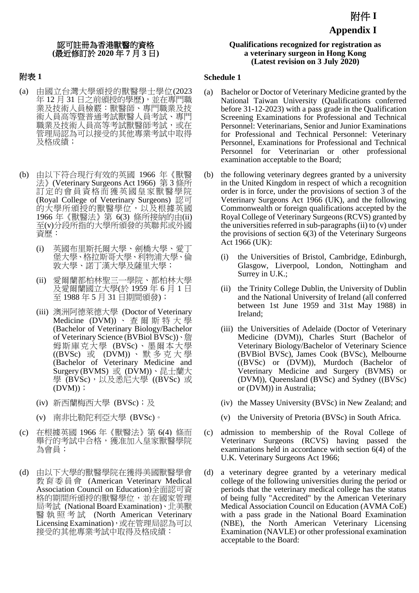## 認可註冊為香港獸醫的資格 **(**最近修訂於 **2020** 年 **7** 月 **3** 日**)**

## 附表 **1**

- (a) 由國立台灣大學頒授的獸醫學士學位(2023 年 12 月 31 日之前頒授的學歷),並在專門職 業及技術人員檢覈︰獸醫師、專門職業及技 術人員高等暨普通考試獸醫人員考試、專門 職業及技術人員高等考試獸醫師考試,或在 管理局認為可以接受的其他專業考試中取得 及格成績;
- (b) 由以下符合現行有效的英國 1966 年《獸醫 法》(Veterinary Surgeons Act 1966) 第 3 條所 訂定的會員資格而獲英國皇家獸醫學院 (Royal College of Veterinary Surgeons) 認可 的大學所頒授的獸醫學位,以及根據英國 1966 年《獸醫法》第 6(3) 條所接納的由(ii) 至(v)分段所指的大學所頒發的英聯邦或外國 資歷:
	- (i) 英國布里斯托爾大學、劍橋大學、愛丁 堡大學、格拉斯哥大學、利物浦大學、倫 敦大學、諾丁漢大學及薩里大學;
	- (ii) 愛爾蘭都柏林聖三一學院、都柏林大學 及愛爾蘭國立大學(於 1959 年 6 月 1 日 至 1988 年 5 月 31 日期間頒發);
	- (iii) 澳洲阿德萊德大學 (Doctor of Veterinary Medicine (DVM)) 、查爾斯特大學 (Bachelor of Veterinary Biology/Bachelor of Veterinary Science (BVBiol BVSc))、詹 姆斯庫克大學 (BVSc)、墨爾本大學 ((BVSc) 或 (DVM)) 、默多克大學 (Bachelor of Veterinary Medicine and Surgery (BVMS) 或 (DVM))、昆士蘭大 學 (BVSc),以及悉尼大學 ((BVSc) 或  $(DVM)$ ;
	- (iv) 新西蘭梅西大學 (BVSc);及
	- (v) 南非比勒陀利亞大學 (BVSc)。
- (c) 在根據英國 1966 年《獸醫法》第 6(4) 條而 舉行的考試中合格,獲准加入皇家獸醫學院 為會員;
- (d) 由以下大學的獸醫學院在獲得美國獸醫學會 教育委員會 (American Veterinary Medical Association Council on Education)全面認可資 格的期間所頒授的獸醫學位,並在國家管理 局考試 (National Board Examination)、北美獸 醫 執 照 考 試 (North American Veterinary Licensing Examination),或在管理局認為可以 接受的其他專業考試中取得及格成績:

## **Qualifications recognized for registration as a veterinary surgeon in Hong Kong (Latest revision on 3 July 2020)**

### **Schedule 1**

- (a) Bachelor or Doctor of Veterinary Medicine granted by the National Taiwan University (Qualifications conferred before 31-12-2023) with a pass grade in the Qualification Screening Examinations for Professional and Technical Personnel: Veterinarians, Senior and Junior Examinations for Professional and Technical Personnel: Veterinary Personnel, Examinations for Professional and Technical Personnel for Veterinarian or other professional examination acceptable to the Board;
- (b) the following veterinary degrees granted by a university in the United Kingdom in respect of which a recognition order is in force, under the provisions of section 3 of the Veterinary Surgeons Act 1966 (UK), and the following Commonwealth or foreign qualifications accepted by the Royal College of Veterinary Surgeons (RCVS) granted by the universities referred in sub-paragraphs (ii) to (v) under the provisions of section 6(3) of the Veterinary Surgeons Act 1966 (UK):
	- (i) the Universities of Bristol, Cambridge, Edinburgh, Glasgow, Liverpool, London, Nottingham and Surrey in U.K.;
	- (ii) the Trinity College Dublin, the University of Dublin and the National University of Ireland (all conferred between 1st June 1959 and 31st May 1988) in Ireland;
	- (iii) the Universities of Adelaide (Doctor of Veterinary Medicine (DVM)), Charles Sturt (Bachelor of Veterinary Biology/Bachelor of Veterinary Science (BVBiol BVSc), James Cook (BVSc), Melbourne ((BVSc) or (DVM)), Murdoch (Bachelor of Veterinary Medicine and Surgery (BVMS) or (DVM)), Queensland (BVSc) and Sydney ((BVSc) or (DVM)) in Australia;
	- (iv) the Massey University (BVSc) in New Zealand; and
	- (v) the University of Pretoria (BVSc) in South Africa.
- (c) admission to membership of the Royal College of Veterinary Surgeons (RCVS) having passed the examinations held in accordance with section 6(4) of the U.K. Veterinary Surgeons Act 1966;
- (d) a veterinary degree granted by a veterinary medical college of the following universities during the period or periods that the veterinary medical college has the status of being fully "Accredited" by the American Veterinary Medical Association Council on Education (AVMA CoE) with a pass grade in the National Board Examination (NBE), the North American Veterinary Licensing Examination (NAVLE) or other professional examination acceptable to the Board: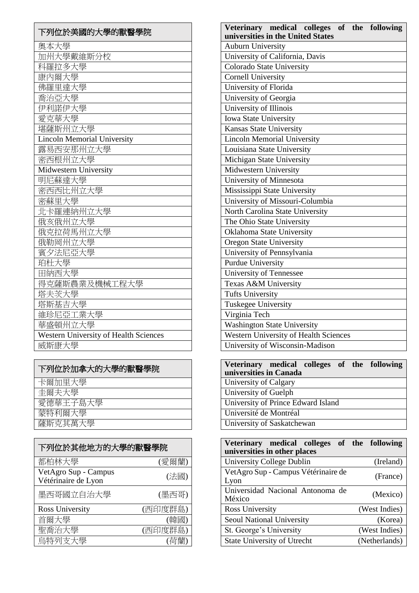| 下列位於美國的大學的獸醫學院                        |
|---------------------------------------|
| 奧本大學                                  |
| 加州大學戴維斯分校                             |
| 科羅拉多大學                                |
| 康内爾大學                                 |
| 佛羅里達大學                                |
| 喬治亞大學                                 |
| 伊利諾伊大學                                |
| 愛克華大學                                 |
| 堪薩斯州立大學                               |
| <b>Lincoln Memorial University</b>    |
| 露易西安那州立大學                             |
| 密西根州立大學                               |
| Midwestern University                 |
| 明尼蘇達大學                                |
| 密西西比州立大學                              |
| 密蘇里大學                                 |
| 北卡羅連納州立大學                             |
| 俄亥俄州立大學                               |
| 俄克拉荷馬州立大學                             |
| 俄勒岡州立大學                               |
| 賓夕法尼亞大學                               |
| 珀杜大學                                  |
| 田納西大學                                 |
| 得克薩斯農業及機械工程大學                         |
| 塔夫茨大學                                 |
| 塔斯基吉大學                                |
| 維珍尼亞工業大學                              |
| 華盛頓州立大學                               |
| Western University of Health Sciences |
| 威斯康大學                                 |

| 下列位於加拿大的大學的獸醫學院 |
|-----------------|
| 卡爾加里大學          |
| 丰爾夫大學           |
| 愛德華王子島大學        |
| 蒙特利爾大學          |
| 薩斯克其萬大學         |

| 下列位於其他地方的大學的獸醫學院                            |         |  |  |
|---------------------------------------------|---------|--|--|
| 都柏林大學                                       | (愛爾蘭)   |  |  |
| VetAgro Sup - Campus<br>Vétérinaire de Lyon | (法國)    |  |  |
| 墨西哥國立自治大學                                   | (墨西哥)   |  |  |
| Ross University                             | (西印度群島) |  |  |
| 首爾大學                                        | (韓國)    |  |  |
| 聖喬治大學                                       | (西印度群島) |  |  |
| 鳥特列支大學                                      | (荷蘭)    |  |  |

| Veterinary medical colleges of the following<br>universities in the United States |  |  |  |
|-----------------------------------------------------------------------------------|--|--|--|
| <b>Auburn University</b>                                                          |  |  |  |
| University of California, Davis                                                   |  |  |  |
| Colorado State University                                                         |  |  |  |
| <b>Cornell University</b>                                                         |  |  |  |
| University of Florida                                                             |  |  |  |
| University of Georgia                                                             |  |  |  |
| University of Illinois                                                            |  |  |  |
| Iowa State University                                                             |  |  |  |
| Kansas State University                                                           |  |  |  |
| <b>Lincoln Memorial University</b>                                                |  |  |  |
| Louisiana State University                                                        |  |  |  |
| Michigan State University                                                         |  |  |  |
| Midwestern University                                                             |  |  |  |
| University of Minnesota                                                           |  |  |  |
| Mississippi State University                                                      |  |  |  |
| University of Missouri-Columbia                                                   |  |  |  |
| North Carolina State University                                                   |  |  |  |
| The Ohio State University                                                         |  |  |  |
| Oklahoma State University                                                         |  |  |  |
| <b>Oregon State University</b>                                                    |  |  |  |
| University of Pennsylvania                                                        |  |  |  |
| <b>Purdue University</b>                                                          |  |  |  |
| University of Tennessee                                                           |  |  |  |
| Texas A&M University                                                              |  |  |  |
| <b>Tufts University</b>                                                           |  |  |  |
| <b>Tuskegee University</b>                                                        |  |  |  |
| Virginia Tech                                                                     |  |  |  |
| <b>Washington State University</b>                                                |  |  |  |
| Western University of Health Sciences                                             |  |  |  |
| University of Wisconsin-Madison                                                   |  |  |  |

| Veterinary medical colleges of the following |  |
|----------------------------------------------|--|
| universities in Canada                       |  |
| University of Calgary                        |  |
| University of Guelph                         |  |
| University of Prince Edward Island           |  |
| Université de Montréal                       |  |
| University of Saskatchewan                   |  |

| Veterinary medical colleges of the following<br>universities in other places |               |
|------------------------------------------------------------------------------|---------------|
| University College Dublin                                                    | (Ireland)     |
| VetAgro Sup - Campus Vétérinaire de<br>Lyon                                  | (France)      |
| Universidad Nacional Antonoma de<br>México                                   | (Mexico)      |
| Ross University                                                              | (West Indies) |
| Seoul National University                                                    | (Korea)       |
| St. George's University                                                      | (West Indies) |
| <b>State University of Utrecht</b>                                           | (Netherlands) |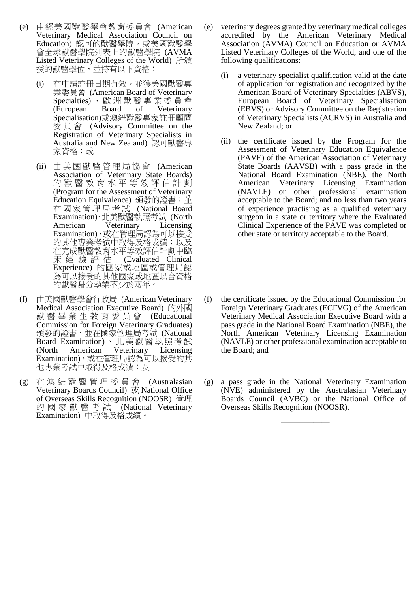- (e) 由經美國獸醫學會教育委員會 (American Veterinary Medical Association Council on Education) 認可的獸醫學院, 或美國獸醫學 會全球獸醫學院列表上的獸醫學院 (AVMA Listed Veterinary Colleges of the World) 所頒 授的獸醫學位,並持有以下資格:
	- (i) 在申請註冊日期有效,並獲美國獸醫專 業委員會 (American Board of Veterinary Specialties) 、 歐 洲 獸 醫 專 業 委 員 會 (European Board of Veterinary Specialisation)或澳紐獸醫專家註冊顧問 委 員 會 (Advisory Committee on the Registration of Veterinary Specialists in Australia and New Zealand) 認可獸醫專 家資格;或
	- (ii) 由 美 國 獸 醫 管 理 局 協 會 (American Association of Veterinary State Boards) 的獸醫教育水平等效評估計劃 (Program for the Assessment of Veterinary Education Equivalence) 頒發的證書;並 在國家管理局考試 (National Board Examination)、北美獸醫執照考試 (North American Veterinary Licensing Examination),或在管理局認為可以接受 的其他專業考試中取得及格成績;以及 在完成獸醫教育水平等效評估計劃中臨<br>床 經 驗 評 估 (Evaluated Clinical (Evaluated Clinical Experience) 的國家或地區或管理局認 為可以接受的其他國家或地區以合資格 的獸醫身分執業不少於兩年。
- (f) 由美國獸醫學會行政局 (American Veterinary Medical Association Executive Board) 的外國 獸 醫 畢 業 生 教 育 委 員 會 (Educational Commission for Foreign Veterinary Graduates) 頒發的證書,並在國家管理局考試 (National Board Examination) 、 北 美 獸 醫 執 照 考 試 (North American Veterinary Licensing Examination),或在管理局認為可以接受的其 他專業考試中取得及格成績;及
- (g) 在 澳 紐 獸 醫 管 理 委 員 會 (Australasian Veterinary Boards Council) 或 National Office of Overseas Skills Recognition (NOOSR) 管理 的 國 家 獸 醫 考 試 (National Veterinary Examination) 中取得及格成績。

——————

- (e) veterinary degrees granted by veterinary medical colleges accredited by the American Veterinary Medical Association (AVMA) Council on Education or AVMA Listed Veterinary Colleges of the World, and one of the following qualifications:
	- (i) a veterinary specialist qualification valid at the date of application for registration and recognized by the American Board of Veterinary Specialties (ABVS), European Board of Veterinary Specialisation (EBVS) or Advisory Committee on the Registration of Veterinary Specialists (ACRVS) in Australia and New Zealand; or
	- (ii) the certificate issued by the Program for the Assessment of Veterinary Education Equivalence (PAVE) of the American Association of Veterinary State Boards (AAVSB) with a pass grade in the National Board Examination (NBE), the North American Veterinary Licensing Examination (NAVLE) or other professional examination acceptable to the Board; and no less than two years of experience practising as a qualified veterinary surgeon in a state or territory where the Evaluated Clinical Experience of the PAVE was completed or other state or territory acceptable to the Board.
- (f) the certificate issued by the Educational Commission for Foreign Veterinary Graduates (ECFVG) of the American Veterinary Medical Association Executive Board with a pass grade in the National Board Examination (NBE), the North American Veterinary Licensing Examination (NAVLE) or other professional examination acceptable to the Board; and
- (g) a pass grade in the National Veterinary Examination (NVE) administered by the Australasian Veterinary Boards Council (AVBC) or the National Office of Overseas Skills Recognition (NOOSR).

——————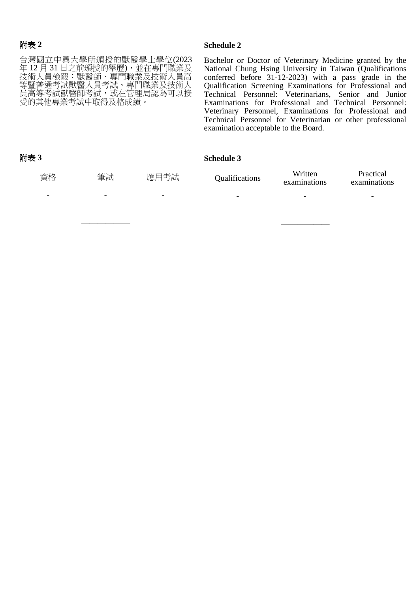### 附表 **2**

台灣國立中興大學所頒授的獸醫學士學位(2023 年 12 月 31 日之前頒授的學歷),並在專門職業及 技術人員檢覈︰獸醫師、專門職業及技術人員高 等暨普通考試獸醫人員考試、專門職業及技術人 員高等考試獸醫師考試,或在管理局認為可以接 受的其他專業考試中取得及格成績。

——————

### **Schedule 2**

Bachelor or Doctor of Veterinary Medicine granted by the National Chung Hsing University in Taiwan (Qualifications conferred before 31-12-2023) with a pass grade in the Qualification Screening Examinations for Professional and Technical Personnel: Veterinarians, Senior and Junior Examinations for Professional and Technical Personnel: Veterinary Personnel, Examinations for Professional and Technical Personnel for Veterinarian or other professional examination acceptable to the Board.

——————

### 附表 **3**

**Schedule 3**

| 資格             | 筆試 | 應用考試           | Qualifications           | Written<br>examinations  | Practical<br>examinations |
|----------------|----|----------------|--------------------------|--------------------------|---------------------------|
| $\blacksquare$ | ۰  | $\blacksquare$ | $\overline{\phantom{0}}$ | $\overline{\phantom{0}}$ | $\overline{\phantom{a}}$  |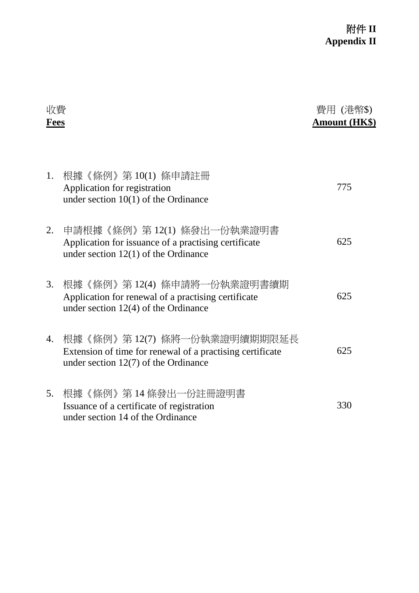| 收費<br>Fees |                                                                                                                                    | 費用 (港幣\$)<br>Amount (HK\$) |
|------------|------------------------------------------------------------------------------------------------------------------------------------|----------------------------|
| 1.         | 根據《條例》第10(1) 條申請註冊<br>Application for registration<br>under section $10(1)$ of the Ordinance                                       | 775                        |
| 2.         | 申請根據《條例》 第 12(1) 條發出一份執業證明書<br>Application for issuance of a practising certificate<br>under section $12(1)$ of the Ordinance      | 625                        |
| 3.         | 根據《條例》 第 12(4) 條申請將一份執業證明書續期<br>Application for renewal of a practising certificate<br>under section $12(4)$ of the Ordinance      | 625                        |
| 4.         | 根據《條例》第12(7) 條將一份執業證明續期期限延長<br>Extension of time for renewal of a practising certificate<br>under section $12(7)$ of the Ordinance | 625                        |
| 5.         | 根據《條例》 第 14 條發出一份註冊證明書<br>Issuance of a certificate of registration<br>under section 14 of the Ordinance                           | 330                        |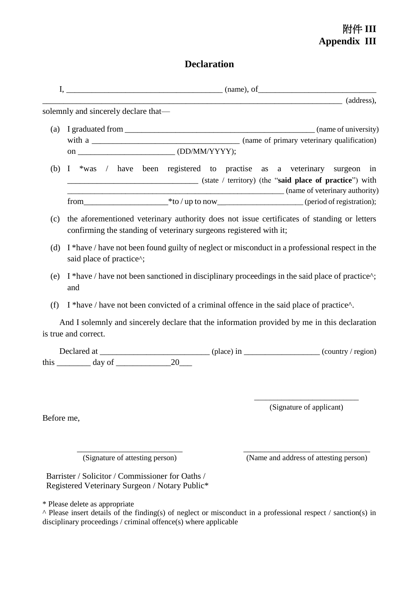# 附件 **III Appendix III**

# **Declaration**

|            |                                                                                                    |                                                                                         | $\overline{\phantom{a}}$ (address),                                                                                                                               |
|------------|----------------------------------------------------------------------------------------------------|-----------------------------------------------------------------------------------------|-------------------------------------------------------------------------------------------------------------------------------------------------------------------|
|            | solemnly and sincerely declare that—                                                               |                                                                                         |                                                                                                                                                                   |
|            |                                                                                                    |                                                                                         |                                                                                                                                                                   |
|            |                                                                                                    |                                                                                         |                                                                                                                                                                   |
|            |                                                                                                    |                                                                                         |                                                                                                                                                                   |
| (b)        |                                                                                                    |                                                                                         | I *was / have been registered to practise as a veterinary surgeon in<br>(state / territory) (the "said place of practice") with<br>(name of veterinary authority) |
|            |                                                                                                    |                                                                                         |                                                                                                                                                                   |
| (c)        |                                                                                                    | confirming the standing of veterinary surgeons registered with it;                      | the aforementioned veterinary authority does not issue certificates of standing or letters                                                                        |
| (d)        | said place of practice^;                                                                           |                                                                                         | I *have / have not been found guilty of neglect or misconduct in a professional respect in the                                                                    |
| (e)        | and                                                                                                |                                                                                         | I *have / have not been sanctioned in disciplinary proceedings in the said place of practice^;                                                                    |
| (f)        |                                                                                                    | I *have / have not been convicted of a criminal offence in the said place of practice^. |                                                                                                                                                                   |
|            | is true and correct.                                                                               |                                                                                         | And I solemnly and sincerely declare that the information provided by me in this declaration                                                                      |
|            |                                                                                                    |                                                                                         |                                                                                                                                                                   |
|            | this $\_\_\_\_$ day of $\_\_\_\_\_$ 20                                                             |                                                                                         |                                                                                                                                                                   |
|            |                                                                                                    |                                                                                         |                                                                                                                                                                   |
|            |                                                                                                    |                                                                                         | (Signature of applicant)                                                                                                                                          |
| Before me, |                                                                                                    |                                                                                         |                                                                                                                                                                   |
|            | (Signature of attesting person)                                                                    |                                                                                         | (Name and address of attesting person)                                                                                                                            |
|            | Barrister / Solicitor / Commissioner for Oaths /<br>Registered Veterinary Surgeon / Notary Public* |                                                                                         |                                                                                                                                                                   |
|            | * Please delete as appropriate                                                                     |                                                                                         | $\land$ Please insert details of the finding(s) of neglect or misconduct in a professional respect / sanction(s) in                                               |

disciplinary proceedings / criminal offence(s) where applicable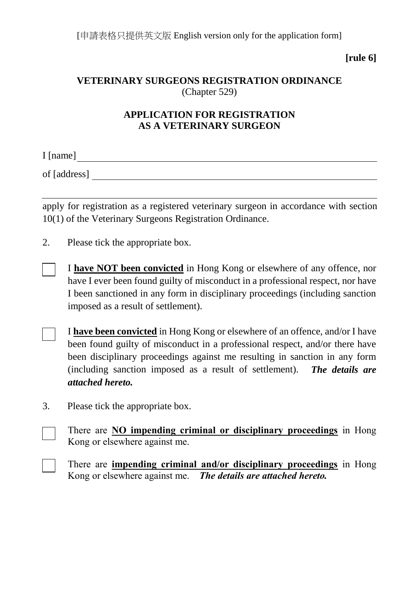[申請表格只提供英文版 English version only for the application form]

**[rule 6]**

## **VETERINARY SURGEONS REGISTRATION ORDINANCE** (Chapter 529)

## **APPLICATION FOR REGISTRATION AS A VETERINARY SURGEON**

I [name]

of [address]

apply for registration as a registered veterinary surgeon in accordance with section 10(1) of the Veterinary Surgeons Registration Ordinance.

2. Please tick the appropriate box.

I **have NOT been convicted** in Hong Kong or elsewhere of any offence, nor have I ever been found guilty of misconduct in a professional respect, nor have I been sanctioned in any form in disciplinary proceedings (including sanction imposed as a result of settlement).

I **have been convicted** in Hong Kong or elsewhere of an offence, and/or I have been found guilty of misconduct in a professional respect, and/or there have been disciplinary proceedings against me resulting in sanction in any form (including sanction imposed as a result of settlement). *The details are attached hereto.*

3. Please tick the appropriate box.

There are **NO impending criminal or disciplinary proceedings** in Hong Kong or elsewhere against me.

There are **impending criminal and/or disciplinary proceedings** in Hong Kong or elsewhere against me. *The details are attached hereto.*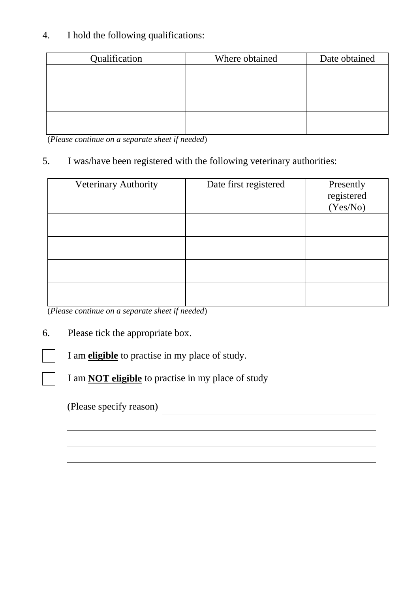## 4. I hold the following qualifications:

| Qualification | Where obtained | Date obtained |
|---------------|----------------|---------------|
|               |                |               |
|               |                |               |
|               |                |               |
|               |                |               |
|               |                |               |
|               |                |               |

(*Please continue on a separate sheet if needed*)

## 5. I was/have been registered with the following veterinary authorities:

| Veterinary Authority | Date first registered | Presently<br>registered<br>(Yes/No) |
|----------------------|-----------------------|-------------------------------------|
|                      |                       |                                     |
|                      |                       |                                     |
|                      |                       |                                     |
|                      |                       |                                     |

<u> 1980 - Johann Barbara, martxa amerikan personal (h. 1980).</u>

(*Please continue on a separate sheet if needed*)

## 6. Please tick the appropriate box.

I am **eligible** to practise in my place of study.

I am **NOT eligible** to practise in my place of study

(Please specify reason)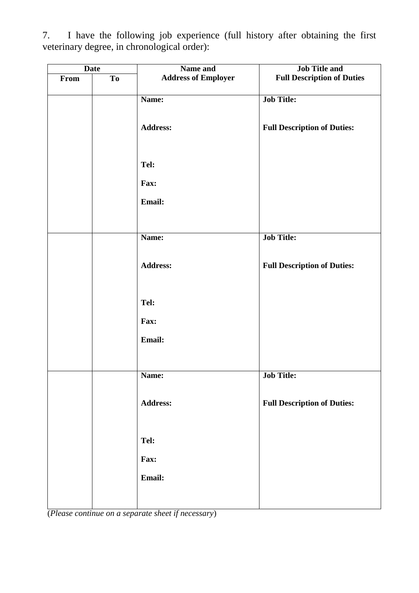| <b>Date</b> |                | Name and                   | <b>Job Title and</b>               |
|-------------|----------------|----------------------------|------------------------------------|
| From        | T <sub>o</sub> | <b>Address of Employer</b> | <b>Full Description of Duties</b>  |
|             |                | Name:                      | <b>Job Title:</b>                  |
|             |                | Address:                   | <b>Full Description of Duties:</b> |
|             |                | Tel:                       |                                    |
|             |                | Fax:                       |                                    |
|             |                | Email:                     |                                    |
|             |                | Name:                      | <b>Job Title:</b>                  |
|             |                | <b>Address:</b>            | <b>Full Description of Duties:</b> |
|             |                | Tel:                       |                                    |
|             |                | Fax:                       |                                    |
|             |                | Email:                     |                                    |
|             |                |                            | <b>Job Title:</b>                  |
|             |                | Name:                      |                                    |
|             |                | <b>Address:</b>            | <b>Full Description of Duties:</b> |
|             |                |                            |                                    |
|             |                | Tel:                       |                                    |
|             |                | Fax:                       |                                    |
|             |                | Email:                     |                                    |
|             |                |                            |                                    |

7. I have the following job experience (full history after obtaining the first veterinary degree, in chronological order):

(*Please continue on a separate sheet if necessary*)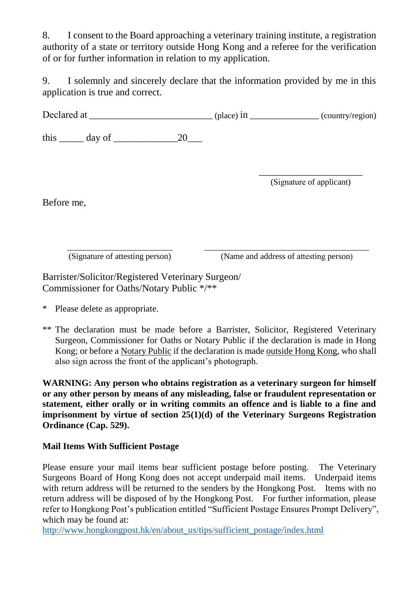8. I consent to the Board approaching a veterinary training institute, a registration authority of a state or territory outside Hong Kong and a referee for the verification of or for further information in relation to my application.

9. I solemnly and sincerely declare that the information provided by me in this application is true and correct.

Declared at \_\_\_\_\_\_\_\_\_\_\_\_\_\_\_\_\_\_\_\_\_\_\_\_\_ (place) in \_\_\_\_\_\_\_\_\_\_\_\_\_\_ (country/region)

this  $\_\_\_\_\$  day of  $\_\_\_\_\_\_2$ 

\_\_\_\_\_\_\_\_\_\_\_\_\_\_\_\_\_\_\_\_\_ (Signature of applicant)

Before me,

\_\_\_\_\_\_\_\_\_\_\_\_\_\_\_\_\_\_\_\_\_\_\_\_\_ (Signature of attesting person) \_\_\_\_\_\_\_\_\_\_\_\_\_\_\_\_\_\_\_\_\_\_\_\_\_\_\_\_\_\_\_\_\_\_\_\_\_\_\_ (Name and address of attesting person)

Barrister/Solicitor/Registered Veterinary Surgeon/ Commissioner for Oaths/Notary Public \*/\*\*

\* Please delete as appropriate.

\*\* The declaration must be made before a Barrister, Solicitor, Registered Veterinary Surgeon, Commissioner for Oaths or Notary Public if the declaration is made in Hong Kong; or before a Notary Public if the declaration is made outside Hong Kong, who shall also sign across the front of the applicant's photograph.

**WARNING: Any person who obtains registration as a veterinary surgeon for himself or any other person by means of any misleading, false or fraudulent representation or statement, either orally or in writing commits an offence and is liable to a fine and imprisonment by virtue of section 25(1)(d) of the Veterinary Surgeons Registration Ordinance (Cap. 529).**

## **Mail Items With Sufficient Postage**

Please ensure your mail items bear sufficient postage before posting. The Veterinary Surgeons Board of Hong Kong does not accept underpaid mail items. Underpaid items with return address will be returned to the senders by the Hongkong Post. Items with no return address will be disposed of by the Hongkong Post. For further information, please refer to Hongkong Post's publication entitled "Sufficient Postage Ensures Prompt Delivery", which may be found at:

[http://www.hongkongpost.hk/en/about\\_us/tips/sufficient\\_postage/index.html](http://www.hongkongpost.hk/en/about_us/tips/sufficient_postage/index.html)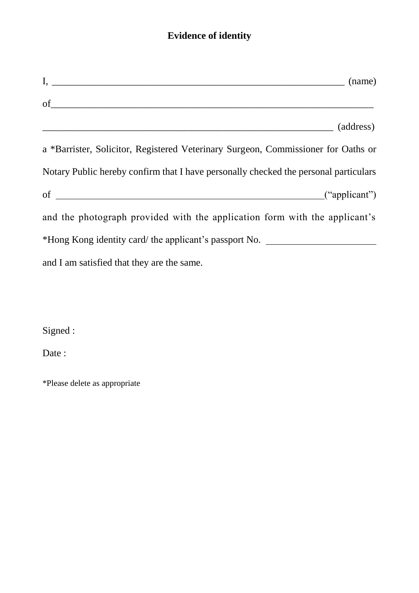# **Evidence of identity**

| $I,$ (name) (name)                                                                   |
|--------------------------------------------------------------------------------------|
| of<br>(address)                                                                      |
| a *Barrister, Solicitor, Registered Veterinary Surgeon, Commissioner for Oaths or    |
| Notary Public hereby confirm that I have personally checked the personal particulars |
|                                                                                      |
| and the photograph provided with the application form with the applicant's           |
| *Hong Kong identity card/ the applicant's passport No. _________________________     |
| and I am satisfied that they are the same.                                           |

Signed :

Date:

\*Please delete as appropriate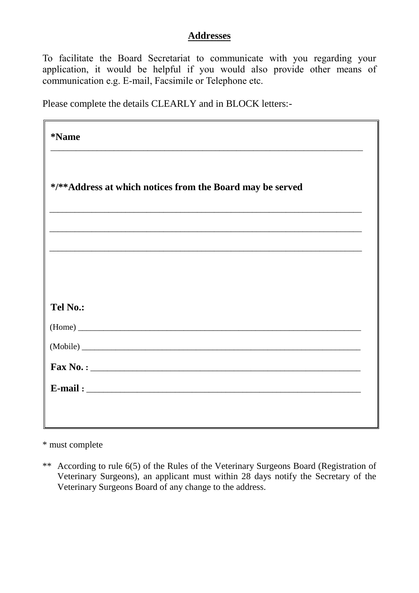## **Addresses**

To facilitate the Board Secretariat to communicate with you regarding your application, it would be helpful if you would also provide other means of communication e.g. E-mail, Facsimile or Telephone etc.

Please complete the details CLEARLY and in BLOCK letters:-

| <i><b>*Name</b></i>                                       |
|-----------------------------------------------------------|
| */**Address at which notices from the Board may be served |
|                                                           |
|                                                           |
| <b>Tel No.:</b>                                           |
|                                                           |
|                                                           |
|                                                           |
|                                                           |
|                                                           |

\* must complete

\*\* According to rule 6(5) of the Rules of the Veterinary Surgeons Board (Registration of Veterinary Surgeons), an applicant must within 28 days notify the Secretary of the Veterinary Surgeons Board of any change to the address.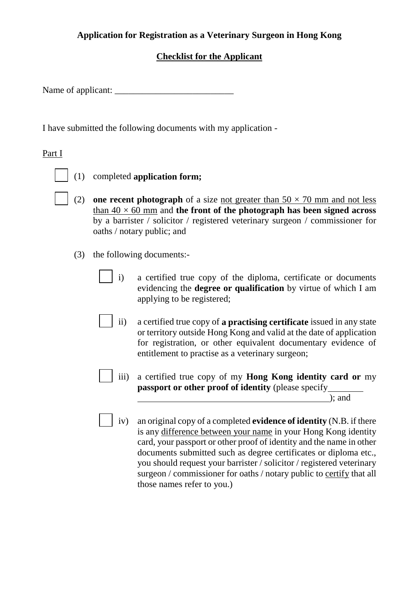## **Application for Registration as a Veterinary Surgeon in Hong Kong**

## **Checklist for the Applicant**

Name of applicant:

I have submitted the following documents with my application -

## Part I

(1) completed **application form;** 

- (2) **one recent photograph** of a size <u>not greater than  $50 \times 70$  mm and not less</u> than  $40 \times 60$  mm and the front of the photograph has been signed across by a barrister / solicitor / registered veterinary surgeon / commissioner for oaths / notary public; and
- (3) the following documents:
	- i) a certified true copy of the diploma, certificate or documents evidencing the **degree or qualification** by virtue of which I am applying to be registered;
	- ii) a certified true copy of **a practising certificate** issued in any state or territory outside Hong Kong and valid at the date of application for registration, or other equivalent documentary evidence of entitlement to practise as a veterinary surgeon;
	- iii) a certified true copy of my **Hong Kong identity card or** my **passport or other proof of identity** (please specify

); and

iv) an original copy of a completed **evidence of identity** (N.B. if there is any difference between your name in your Hong Kong identity card, your passport or other proof of identity and the name in other documents submitted such as degree certificates or diploma etc., you should request your barrister / solicitor / registered veterinary surgeon / commissioner for oaths / notary public to certify that all those names refer to you.)